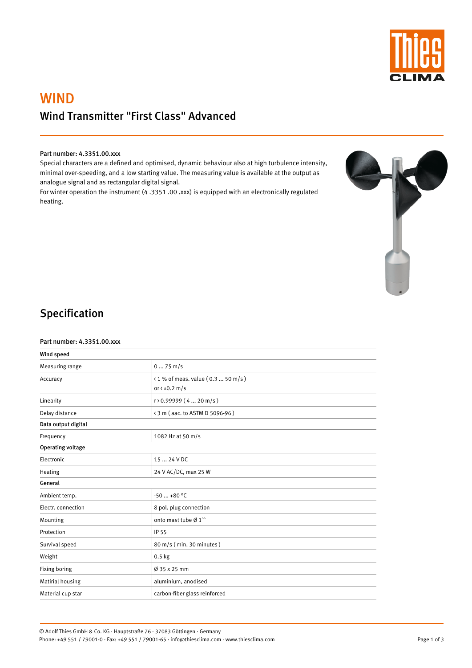

# WIND Wind Transmitter "First Class" Advanced

#### Part number: 4.3351.00.xxx

Special characters are a defined and optimised, dynamic behaviour also at high turbulence intensity, minimal over-speeding, and a low starting value. The measuring value is available at the output as analogue signal and as rectangular digital signal.

For winter operation the instrument (4 .3351 .00 .xxx) is equipped with an electronically regulated heating.



## Specification

#### Part number: 4.3351.00.xxx

| Wind speed               |                                                                            |
|--------------------------|----------------------------------------------------------------------------|
| Measuring range          | $075$ m/s                                                                  |
| Accuracy                 | <1 % of meas. value (0.3  50 m/s)<br>or $\left(\pm 0.2 \text{ m/s}\right)$ |
| Linearity                | $r$ > 0.99999 (4  20 m/s)                                                  |
| Delay distance           | < 3 m (aac. to ASTM D 5096-96)                                             |
| Data output digital      |                                                                            |
| Frequency                | 1082 Hz at 50 m/s                                                          |
| <b>Operating voltage</b> |                                                                            |
| Electronic               | 15  24 V DC                                                                |
| Heating                  | 24 V AC/DC, max 25 W                                                       |
| General                  |                                                                            |
| Ambient temp.            | $-50+80$ °C                                                                |
| Electr. connection       | 8 pol. plug connection                                                     |
| Mounting                 | onto mast tube Ø1"                                                         |
| Protection               | IP 55                                                                      |
| Survival speed           | 80 m/s (min. 30 minutes)                                                   |
| Weight                   | $0.5$ kg                                                                   |
| Fixing boring            | Ø 35 x 25 mm                                                               |
| Matirial housing         | aluminium, anodised                                                        |
| Material cup star        | carbon-fiber glass reinforced                                              |

© Adolf Thies GmbH & Co. KG · Hauptstraße 76 · 37083 Göttingen · Germany Phone: +49 551 / 79001-0 · Fax: +49 551 / 79001-65 · info@thiesclima.com · www.thiesclima.com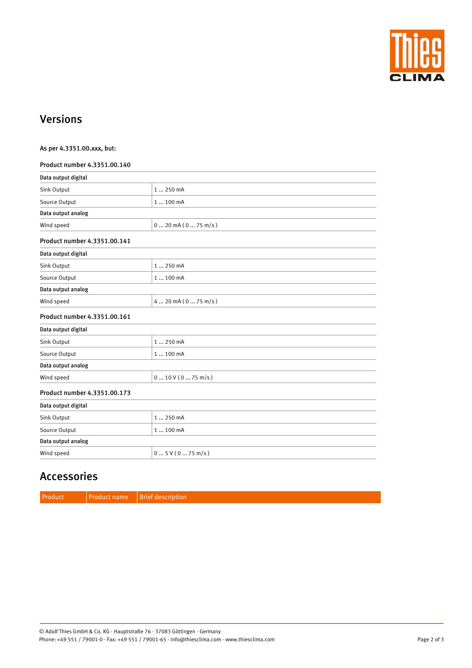

### Versions

| As per 4.3351.00.xxx, but:   |                                    |  |
|------------------------------|------------------------------------|--|
| Product number 4.3351.00.140 |                                    |  |
| Data output digital          |                                    |  |
| Sink Output                  | 1  250 mA                          |  |
| Source Output                | 1  100 mA                          |  |
| Data output analog           |                                    |  |
| Wind speed                   | $0 \dots 20$ mA $(0 \dots 75$ m/s) |  |
| Product number 4.3351.00.141 |                                    |  |
| Data output digital          |                                    |  |
| Sink Output                  | 1  250 mA                          |  |
| Source Output                | 1  100 mA                          |  |
| Data output analog           |                                    |  |
| Wind speed                   | $420$ mA $(075$ m/s)               |  |
| Product number 4.3351.00.161 |                                    |  |
| Data output digital          |                                    |  |
| Sink Output                  | 1  250 mA                          |  |
| Source Output                | 1  100 mA                          |  |
| Data output analog           |                                    |  |
| Wind speed                   | $0 \dots 10 V (0 \dots 75 m/s)$    |  |
| Product number 4.3351.00.173 |                                    |  |
| Data output digital          |                                    |  |
| Sink Output                  | 1  250 mA                          |  |
| Source Output                | 1  100 mA                          |  |
| Data output analog           |                                    |  |
| Wind speed                   | 05V(075m/s)                        |  |
|                              |                                    |  |

## Accessories

| Produc | Product name | Brief description |
|--------|--------------|-------------------|
|--------|--------------|-------------------|

© Adolf Thies GmbH & Co. KG · Hauptstraße 76 · 37083 Göttingen · Germany Phone: +49 551 / 79001-0 · Fax: +49 551 / 79001-65 · info@thiesclima.com · www.thiesclima.com